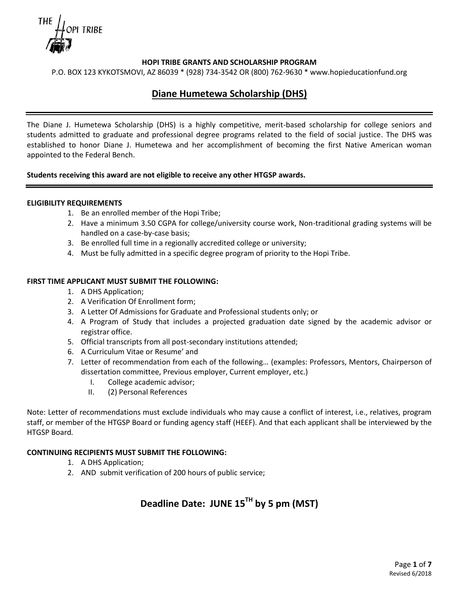

P.O. BOX 123 KYKOTSMOVI, AZ 86039 \* (928) 734-3542 OR (800) 762-9630 \* www.hopieducationfund.org

# **Diane Humetewa Scholarship (DHS)**

The Diane J. Humetewa Scholarship (DHS) is a highly competitive, merit-based scholarship for college seniors and students admitted to graduate and professional degree programs related to the field of social justice. The DHS was established to honor Diane J. Humetewa and her accomplishment of becoming the first Native American woman appointed to the Federal Bench.

### **Students receiving this award are not eligible to receive any other HTGSP awards.**

#### **ELIGIBILITY REQUIREMENTS**

- 1. Be an enrolled member of the Hopi Tribe;
- 2. Have a minimum 3.50 CGPA for college/university course work, Non-traditional grading systems will be handled on a case-by-case basis;
- 3. Be enrolled full time in a regionally accredited college or university;
- 4. Must be fully admitted in a specific degree program of priority to the Hopi Tribe.

### **FIRST TIME APPLICANT MUST SUBMIT THE FOLLOWING:**

- 1. A DHS Application;
- 2. A Verification Of Enrollment form;
- 3. A Letter Of Admissions for Graduate and Professional students only; or
- 4. A Program of Study that includes a projected graduation date signed by the academic advisor or registrar office.
- 5. Official transcripts from all post-secondary institutions attended;
- 6. A Curriculum Vitae or Resume' and
- 7. Letter of recommendation from each of the following… (examples: Professors, Mentors, Chairperson of dissertation committee, Previous employer, Current employer, etc.)
	- I. College academic advisor;
	- II. (2) Personal References

Note: Letter of recommendations must exclude individuals who may cause a conflict of interest, i.e., relatives, program staff, or member of the HTGSP Board or funding agency staff (HEEF). And that each applicant shall be interviewed by the HTGSP Board*.*

## **CONTINUING RECIPIENTS MUST SUBMIT THE FOLLOWING:**

- 1. A DHS Application;
- 2. AND submit verification of 200 hours of public service;

# **Deadline Date: JUNE 15TH by 5 pm (MST)**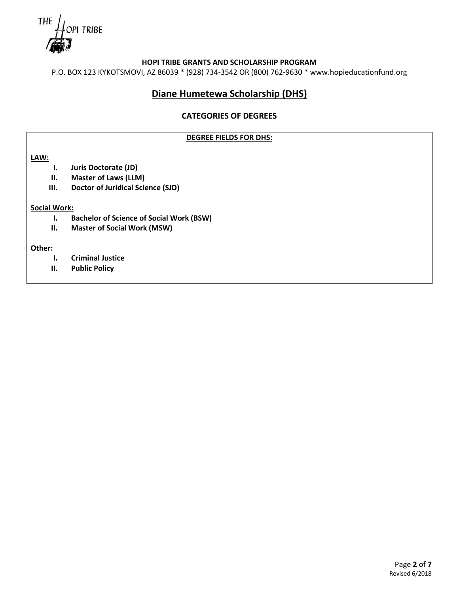THE PI TRIBE

P.O. BOX 123 KYKOTSMOVI, AZ 86039 \* (928) 734-3542 OR (800) 762-9630 \* www.hopieducationfund.org

# **Diane Humetewa Scholarship (DHS)**

## **CATEGORIES OF DEGREES**

### **DEGREE FIELDS FOR DHS:**

**LAW:**

- **I. Juris Doctorate (JD)**
- **II. Master of Laws (LLM)**
- **III. Doctor of Juridical Science (SJD)**

### **Social Work:**

- **I. Bachelor of Science of Social Work (BSW)**
- **II. Master of Social Work (MSW)**

### **Other:**

- **I. Criminal Justice**
- **II. Public Policy**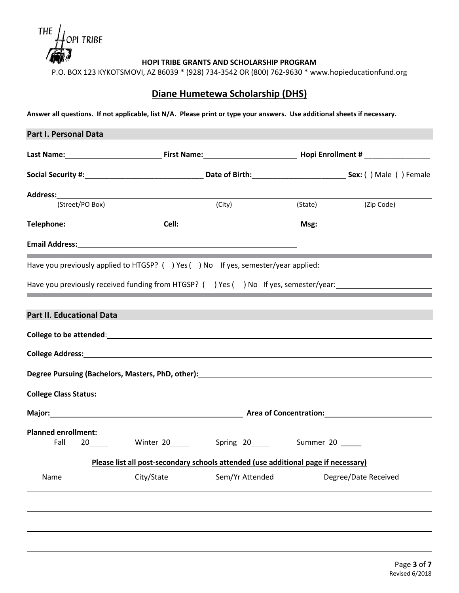THE  $l$ opi tribe

P.O. BOX 123 KYKOTSMOVI, AZ 86039 \* (928) 734-3542 OR (800) 762-9630 \* www.hopieducationfund.org

# **Diane Humetewa Scholarship (DHS)**

**Answer all questions. If not applicable, list N/A. Please print or type your answers. Use additional sheets if necessary.**

| Part I. Personal Data                                                                |            |                                                                                    |                      |
|--------------------------------------------------------------------------------------|------------|------------------------------------------------------------------------------------|----------------------|
|                                                                                      |            |                                                                                    |                      |
|                                                                                      |            |                                                                                    |                      |
|                                                                                      |            |                                                                                    |                      |
| (Street/PO Box)                                                                      |            | (City)                                                                             | (State) (Zip Code)   |
|                                                                                      |            |                                                                                    |                      |
|                                                                                      |            |                                                                                    |                      |
| Have you previously applied to HTGSP? () Yes () No If yes, semester/year applied:    |            |                                                                                    |                      |
| Have you previously received funding from HTGSP? () Yes () No If yes, semester/year: |            |                                                                                    |                      |
|                                                                                      |            |                                                                                    |                      |
| <b>Part II. Educational Data</b>                                                     |            |                                                                                    |                      |
|                                                                                      |            |                                                                                    |                      |
|                                                                                      |            |                                                                                    |                      |
|                                                                                      |            |                                                                                    |                      |
|                                                                                      |            |                                                                                    |                      |
|                                                                                      |            |                                                                                    |                      |
|                                                                                      |            |                                                                                    |                      |
| <b>Planned enrollment:</b><br>Fall                                                   |            | 20______ Winter 20_____ Spring 20_____ Summer 20 ____                              |                      |
|                                                                                      |            |                                                                                    |                      |
|                                                                                      |            | Please list all post-secondary schools attended (use additional page if necessary) |                      |
| Name                                                                                 | City/State | Sem/Yr Attended                                                                    | Degree/Date Received |
|                                                                                      |            |                                                                                    |                      |
|                                                                                      |            |                                                                                    |                      |
|                                                                                      |            |                                                                                    |                      |
|                                                                                      |            |                                                                                    |                      |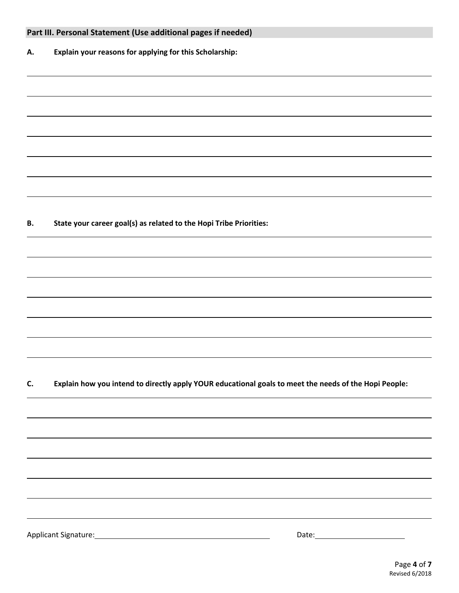|    | Part III. Personal Statement (Use additional pages if needed)                                                                                                                                                                 |
|----|-------------------------------------------------------------------------------------------------------------------------------------------------------------------------------------------------------------------------------|
| А. | Explain your reasons for applying for this Scholarship:                                                                                                                                                                       |
|    |                                                                                                                                                                                                                               |
|    |                                                                                                                                                                                                                               |
|    |                                                                                                                                                                                                                               |
|    |                                                                                                                                                                                                                               |
|    |                                                                                                                                                                                                                               |
|    |                                                                                                                                                                                                                               |
|    |                                                                                                                                                                                                                               |
|    |                                                                                                                                                                                                                               |
| В. | State your career goal(s) as related to the Hopi Tribe Priorities:                                                                                                                                                            |
|    |                                                                                                                                                                                                                               |
|    |                                                                                                                                                                                                                               |
|    |                                                                                                                                                                                                                               |
|    |                                                                                                                                                                                                                               |
|    |                                                                                                                                                                                                                               |
|    |                                                                                                                                                                                                                               |
|    |                                                                                                                                                                                                                               |
|    |                                                                                                                                                                                                                               |
| C. | Explain how you intend to directly apply YOUR educational goals to meet the needs of the Hopi People:                                                                                                                         |
|    |                                                                                                                                                                                                                               |
|    |                                                                                                                                                                                                                               |
|    |                                                                                                                                                                                                                               |
|    |                                                                                                                                                                                                                               |
|    | ,我们也不会有什么?""我们的人,我们也不会有什么?""我们的人,我们也不会有什么?""我们的人,我们也不会有什么?""我们的人,我们也不会有什么?""我们的人                                                                                                                                              |
|    |                                                                                                                                                                                                                               |
|    | the control of the control of the control of the control of the control of the control of the control of the control of the control of the control of the control of the control of the control of the control of the control |
|    |                                                                                                                                                                                                                               |
|    |                                                                                                                                                                                                                               |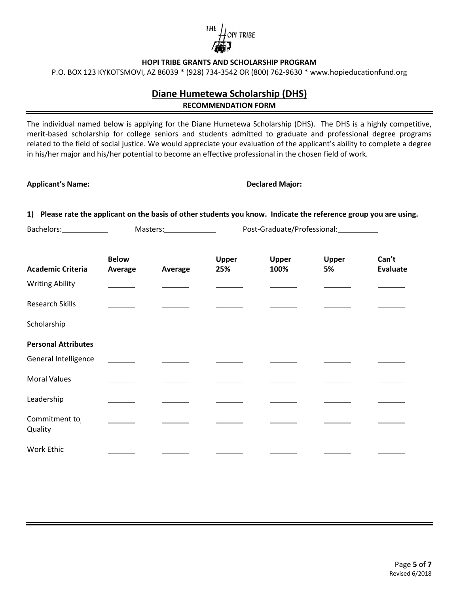

P.O. BOX 123 KYKOTSMOVI, AZ 86039 \* (928) 734-3542 OR (800) 762-9630 \* www.hopieducationfund.org

# **Diane Humetewa Scholarship (DHS) RECOMMENDATION FORM**

The individual named below is applying for the Diane Humetewa Scholarship (DHS). The DHS is a highly competitive, merit-based scholarship for college seniors and students admitted to graduate and professional degree programs related to the field of social justice. We would appreciate your evaluation of the applicant's ability to complete a degree in his/her major and his/her potential to become an effective professional in the chosen field of work.

**Applicant's Name: Declared Major:**

**1) Please rate the applicant on the basis of other students you know. Indicate the reference group you are using.**

Bachelors: Masters: Masters: Post-Graduate/Professional: Masters: Post-Graduate/Professional:

| <b>Academic Criteria</b>   | <b>Below</b><br>Average | Average | Upper<br>25% | Upper<br>100% | Upper<br>5% | Can't<br><b>Evaluate</b> |
|----------------------------|-------------------------|---------|--------------|---------------|-------------|--------------------------|
| <b>Writing Ability</b>     |                         |         |              |               |             |                          |
| <b>Research Skills</b>     |                         |         |              |               |             |                          |
| Scholarship                |                         |         |              |               |             |                          |
| <b>Personal Attributes</b> |                         |         |              |               |             |                          |
| General Intelligence       |                         |         |              |               |             |                          |
| <b>Moral Values</b>        |                         |         |              |               |             |                          |
| Leadership                 |                         |         |              |               |             |                          |
| Commitment to<br>Quality   |                         |         |              |               |             |                          |
| Work Ethic                 |                         |         |              |               |             |                          |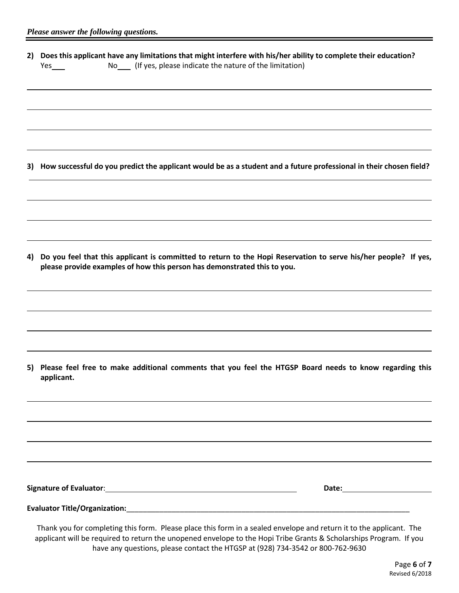|     | 2) Does this applicant have any limitations that might interfere with his/her ability to complete their education? |
|-----|--------------------------------------------------------------------------------------------------------------------|
| Yes | (If yes, please indicate the nature of the limitation)                                                             |

**3) How successful do you predict the applicant would be as a student and a future professional in their chosen field?**

**4) Do you feel that this applicant is committed to return to the Hopi Reservation to serve his/her people? If yes, please provide examples of how this person has demonstrated this to you.**

**5) Please feel free to make additional comments that you feel the HTGSP Board needs to know regarding this applicant.**

| <b>Signature of Evaluator:</b> | Date: |  |  |
|--------------------------------|-------|--|--|
|                                |       |  |  |
|                                |       |  |  |

**Evaluator Title/Organization:**\_\_\_\_\_\_\_\_\_\_\_\_\_\_\_\_\_\_\_\_\_\_\_\_\_\_\_\_\_\_\_\_\_\_\_\_\_\_\_\_\_\_\_\_\_\_\_\_\_\_\_\_\_\_\_\_\_\_\_\_\_\_\_\_\_\_\_\_\_

Thank you for completing this form. Please place this form in a sealed envelope and return it to the applicant. The applicant will be required to return the unopened envelope to the Hopi Tribe Grants & Scholarships Program. If you have any questions, please contact the HTGSP at (928) 734-3542 or 800-762-9630